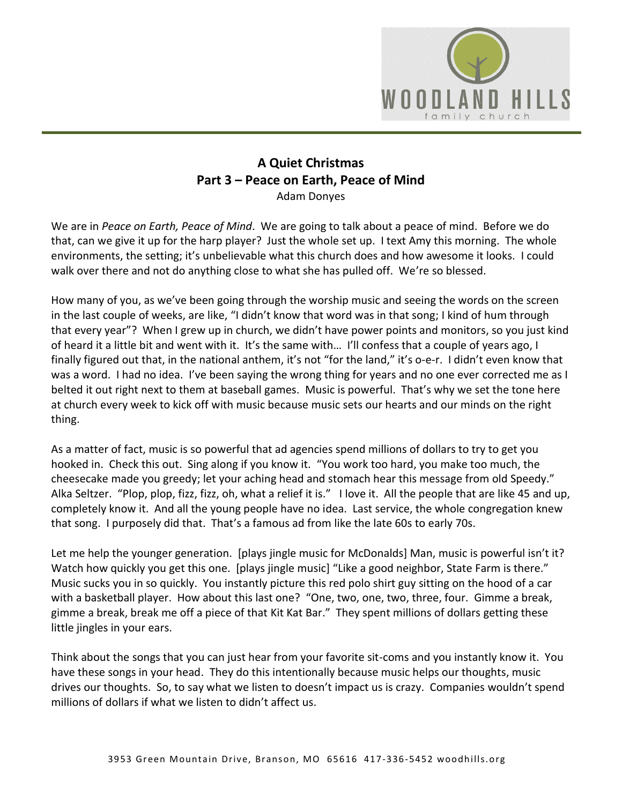

## **A Quiet Christmas Part 3 – Peace on Earth, Peace of Mind** Adam Donyes

We are in *Peace on Earth, Peace of Mind*. We are going to talk about a peace of mind. Before we do that, can we give it up for the harp player? Just the whole set up. I text Amy this morning. The whole environments, the setting; it's unbelievable what this church does and how awesome it looks. I could walk over there and not do anything close to what she has pulled off. We're so blessed.

How many of you, as we've been going through the worship music and seeing the words on the screen in the last couple of weeks, are like, "I didn't know that word was in that song; I kind of hum through that every year"? When I grew up in church, we didn't have power points and monitors, so you just kind of heard it a little bit and went with it. It's the same with… I'll confess that a couple of years ago, I finally figured out that, in the national anthem, it's not "for the land," it's o-e-r. I didn't even know that was a word. I had no idea. I've been saying the wrong thing for years and no one ever corrected me as I belted it out right next to them at baseball games. Music is powerful. That's why we set the tone here at church every week to kick off with music because music sets our hearts and our minds on the right thing.

As a matter of fact, music is so powerful that ad agencies spend millions of dollars to try to get you hooked in. Check this out. Sing along if you know it. "You work too hard, you make too much, the cheesecake made you greedy; let your aching head and stomach hear this message from old Speedy." Alka Seltzer. "Plop, plop, fizz, fizz, oh, what a relief it is." I love it. All the people that are like 45 and up, completely know it. And all the young people have no idea. Last service, the whole congregation knew that song. I purposely did that. That's a famous ad from like the late 60s to early 70s.

Let me help the younger generation. [plays jingle music for McDonalds] Man, music is powerful isn't it? Watch how quickly you get this one. [plays jingle music] "Like a good neighbor, State Farm is there." Music sucks you in so quickly. You instantly picture this red polo shirt guy sitting on the hood of a car with a basketball player. How about this last one? "One, two, one, two, three, four. Gimme a break, gimme a break, break me off a piece of that Kit Kat Bar." They spent millions of dollars getting these little jingles in your ears.

Think about the songs that you can just hear from your favorite sit-coms and you instantly know it. You have these songs in your head. They do this intentionally because music helps our thoughts, music drives our thoughts. So, to say what we listen to doesn't impact us is crazy. Companies wouldn't spend millions of dollars if what we listen to didn't affect us.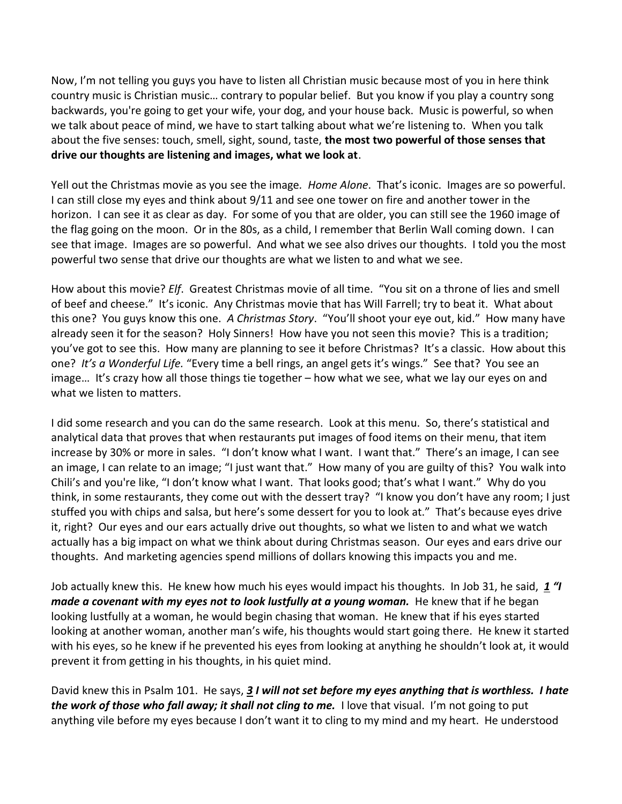Now, I'm not telling you guys you have to listen all Christian music because most of you in here think country music is Christian music… contrary to popular belief. But you know if you play a country song backwards, you're going to get your wife, your dog, and your house back. Music is powerful, so when we talk about peace of mind, we have to start talking about what we're listening to. When you talk about the five senses: touch, smell, sight, sound, taste, **the most two powerful of those senses that drive our thoughts are listening and images, what we look at**.

Yell out the Christmas movie as you see the image*. Home Alone*. That's iconic. Images are so powerful. I can still close my eyes and think about 9/11 and see one tower on fire and another tower in the horizon. I can see it as clear as day. For some of you that are older, you can still see the 1960 image of the flag going on the moon. Or in the 80s, as a child, I remember that Berlin Wall coming down. I can see that image. Images are so powerful. And what we see also drives our thoughts. I told you the most powerful two sense that drive our thoughts are what we listen to and what we see.

How about this movie? *Elf*. Greatest Christmas movie of all time. "You sit on a throne of lies and smell of beef and cheese." It's iconic. Any Christmas movie that has Will Farrell; try to beat it. What about this one? You guys know this one. *A Christmas Story*. "You'll shoot your eye out, kid." How many have already seen it for the season? Holy Sinners! How have you not seen this movie? This is a tradition; you've got to see this. How many are planning to see it before Christmas? It's a classic. How about this one? *It's a Wonderful Life.* "Every time a bell rings, an angel gets it's wings." See that? You see an image… It's crazy how all those things tie together – how what we see, what we lay our eyes on and what we listen to matters.

I did some research and you can do the same research. Look at this menu. So, there's statistical and analytical data that proves that when restaurants put images of food items on their menu, that item increase by 30% or more in sales. "I don't know what I want. I want that." There's an image, I can see an image, I can relate to an image; "I just want that." How many of you are guilty of this? You walk into Chili's and you're like, "I don't know what I want. That looks good; that's what I want." Why do you think, in some restaurants, they come out with the dessert tray? "I know you don't have any room; I just stuffed you with chips and salsa, but here's some dessert for you to look at." That's because eyes drive it, right? Our eyes and our ears actually drive out thoughts, so what we listen to and what we watch actually has a big impact on what we think about during Christmas season. Our eyes and ears drive our thoughts. And marketing agencies spend millions of dollars knowing this impacts you and me.

Job actually knew this. He knew how much his eyes would impact his thoughts. In Job 31, he said, *[1](https://www.studylight.org/desk/?q=job%2031:1&t1=en_niv&sr=1) "I made a covenant with my eyes not to look lustfully at a young woman.* He knew that if he began looking lustfully at a woman, he would begin chasing that woman. He knew that if his eyes started looking at another woman, another man's wife, his thoughts would start going there. He knew it started with his eyes, so he knew if he prevented his eyes from looking at anything he shouldn't look at, it would prevent it from getting in his thoughts, in his quiet mind.

David knew this in Psalm 101. He says, *[3](https://www.studylight.org/desk/?q=ps%20101:3&t1=en_esv&sr=1) I will not set before my eyes anything that is worthless. I hate the work of those who fall away; it shall not cling to me.* I love that visual. I'm not going to put anything vile before my eyes because I don't want it to cling to my mind and my heart. He understood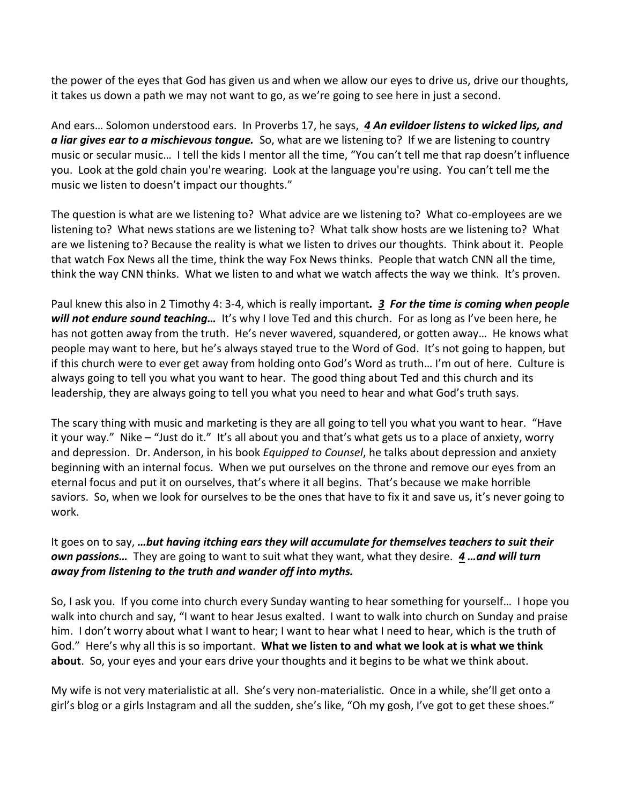the power of the eyes that God has given us and when we allow our eyes to drive us, drive our thoughts, it takes us down a path we may not want to go, as we're going to see here in just a second.

And ears… Solomon understood ears. In Proverbs 17, he says, *[4](https://www.studylight.org/desk/?q=pr%2017:4&t1=en_esv&sr=1) An evildoer listens to wicked lips, and a liar gives ear to a mischievous tongue.* So, what are we listening to? If we are listening to country music or secular music… I tell the kids I mentor all the time, "You can't tell me that rap doesn't influence you. Look at the gold chain you're wearing. Look at the language you're using. You can't tell me the music we listen to doesn't impact our thoughts."

The question is what are we listening to? What advice are we listening to? What co-employees are we listening to? What news stations are we listening to? What talk show hosts are we listening to? What are we listening to? Because the reality is what we listen to drives our thoughts. Think about it. People that watch Fox News all the time, think the way Fox News thinks. People that watch CNN all the time, think the way CNN thinks. What we listen to and what we watch affects the way we think. It's proven.

Paul knew this also in 2 Timothy 4: 3-4, which is really important*. [3](https://www.studylight.org/desk/?q=2ti%204:3&t1=en_esv&sr=1) For the time is coming when people will not endure sound teaching…* It's why I love Ted and this church. For as long as I've been here, he has not gotten away from the truth. He's never wavered, squandered, or gotten away... He knows what people may want to here, but he's always stayed true to the Word of God. It's not going to happen, but if this church were to ever get away from holding onto God's Word as truth… I'm out of here. Culture is always going to tell you what you want to hear. The good thing about Ted and this church and its leadership, they are always going to tell you what you need to hear and what God's truth says.

The scary thing with music and marketing is they are all going to tell you what you want to hear. "Have it your way." Nike – "Just do it." It's all about you and that's what gets us to a place of anxiety, worry and depression. Dr. Anderson, in his book *Equipped to Counsel*, he talks about depression and anxiety beginning with an internal focus. When we put ourselves on the throne and remove our eyes from an eternal focus and put it on ourselves, that's where it all begins. That's because we make horrible saviors. So, when we look for ourselves to be the ones that have to fix it and save us, it's never going to work.

It goes on to say, *…but having itching ears they will accumulate for themselves teachers to suit their own passions…* They are going to want to suit what they want, what they desire. *[4](https://www.studylight.org/desk/?q=2ti%204:4&t1=en_esv&sr=1) …and will turn away from listening to the truth and wander off into myths.*

So, I ask you. If you come into church every Sunday wanting to hear something for yourself… I hope you walk into church and say, "I want to hear Jesus exalted. I want to walk into church on Sunday and praise him. I don't worry about what I want to hear; I want to hear what I need to hear, which is the truth of God." Here's why all this is so important. **What we listen to and what we look at is what we think about**. So, your eyes and your ears drive your thoughts and it begins to be what we think about.

My wife is not very materialistic at all. She's very non-materialistic. Once in a while, she'll get onto a girl's blog or a girls Instagram and all the sudden, she's like, "Oh my gosh, I've got to get these shoes."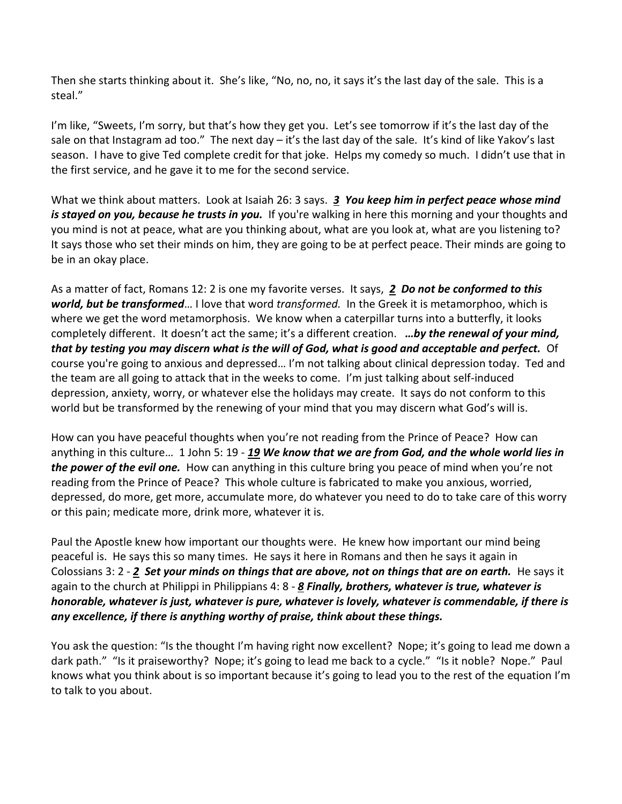Then she starts thinking about it. She's like, "No, no, no, it says it's the last day of the sale. This is a steal."

I'm like, "Sweets, I'm sorry, but that's how they get you. Let's see tomorrow if it's the last day of the sale on that Instagram ad too." The next day – it's the last day of the sale. It's kind of like Yakov's last season. I have to give Ted complete credit for that joke. Helps my comedy so much. I didn't use that in the first service, and he gave it to me for the second service.

What we think about matters. Look at Isaiah 26: 3 says. *[3](https://www.studylight.org/desk/?q=isa%2026:3&t1=en_esv&sr=1) You keep him in perfect peace whose mind is stayed on you, because he trusts in you.* If you're walking in here this morning and your thoughts and you mind is not at peace, what are you thinking about, what are you look at, what are you listening to? It says those who set their minds on him, they are going to be at perfect peace. Their minds are going to be in an okay place.

As a matter of fact, Romans 12: 2 is one my favorite verses. It says, *[2](https://www.studylight.org/desk/?q=ro%2012:2&t1=en_esv&sr=1) Do not be conformed to this world, but be transformed*… I love that word *transformed.* In the Greek it is metamorphoo, which is where we get the word metamorphosis. We know when a caterpillar turns into a butterfly, it looks completely different. It doesn't act the same; it's a different creation. *…by the renewal of your mind, that by testing you may discern what is the will of God, what is good and acceptable and perfect.* Of course you're going to anxious and depressed… I'm not talking about clinical depression today. Ted and the team are all going to attack that in the weeks to come. I'm just talking about self-induced depression, anxiety, worry, or whatever else the holidays may create. It says do not conform to this world but be transformed by the renewing of your mind that you may discern what God's will is.

How can you have peaceful thoughts when you're not reading from the Prince of Peace? How can anything in this culture… 1 John 5: 19 - *[19](https://www.studylight.org/desk/?q=1jo%205:19&t1=en_esv&sr=1) We know that we are from God, and the whole world lies in the power of the evil one.* How can anything in this culture bring you peace of mind when you're not reading from the Prince of Peace? This whole culture is fabricated to make you anxious, worried, depressed, do more, get more, accumulate more, do whatever you need to do to take care of this worry or this pain; medicate more, drink more, whatever it is.

Paul the Apostle knew how important our thoughts were. He knew how important our mind being peaceful is. He says this so many times. He says it here in Romans and then he says it again in Colossians 3: 2 - *[2](https://www.studylight.org/desk/?q=col%203:2&t1=en_esv&sr=1) Set your minds on things that are above, not on things that are on earth.* He says it again to the church at Philippi in Philippians 4: 8 - *[8](https://www.studylight.org/desk/?q=php%204:8&t1=en_esv&sr=1) Finally, brothers, whatever is true, whatever is honorable, whatever is just, whatever is pure, whatever is lovely, whatever is commendable, if there is any excellence, if there is anything worthy of praise, think about these things.*

You ask the question: "Is the thought I'm having right now excellent? Nope; it's going to lead me down a dark path." "Is it praiseworthy? Nope; it's going to lead me back to a cycle." "Is it noble? Nope." Paul knows what you think about is so important because it's going to lead you to the rest of the equation I'm to talk to you about.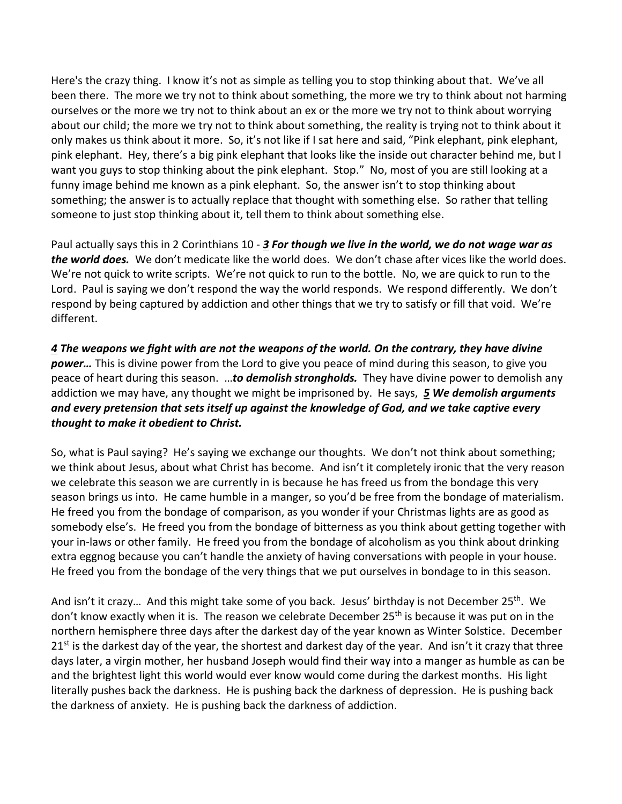Here's the crazy thing. I know it's not as simple as telling you to stop thinking about that. We've all been there. The more we try not to think about something, the more we try to think about not harming ourselves or the more we try not to think about an ex or the more we try not to think about worrying about our child; the more we try not to think about something, the reality is trying not to think about it only makes us think about it more. So, it's not like if I sat here and said, "Pink elephant, pink elephant, pink elephant. Hey, there's a big pink elephant that looks like the inside out character behind me, but I want you guys to stop thinking about the pink elephant. Stop." No, most of you are still looking at a funny image behind me known as a pink elephant. So, the answer isn't to stop thinking about something; the answer is to actually replace that thought with something else. So rather that telling someone to just stop thinking about it, tell them to think about something else.

Paul actually says this in 2 Corinthians 10 - *[3](https://www.studylight.org/desk/?q=2co%2010:3&t1=en_niv&sr=1) For though we live in the world, we do not wage war as the world does.* We don't medicate like the world does. We don't chase after vices like the world does. We're not quick to write scripts. We're not quick to run to the bottle. No, we are quick to run to the Lord. Paul is saying we don't respond the way the world responds. We respond differently. We don't respond by being captured by addiction and other things that we try to satisfy or fill that void. We're different.

*[4](https://www.studylight.org/desk/?q=2co%2010:4&t1=en_niv&sr=1) The weapons we fight with are not the weapons of the world. On the contrary, they have divine power…* This is divine power from the Lord to give you peace of mind during this season, to give you peace of heart during this season. …*to demolish strongholds.* They have divine power to demolish any addiction we may have, any thought we might be imprisoned by. He says, *[5](https://www.studylight.org/desk/?q=2co%2010:5&t1=en_niv&sr=1) We demolish arguments and every pretension that sets itself up against the knowledge of God, and we take captive every thought to make it obedient to Christ.*

So, what is Paul saying? He's saying we exchange our thoughts. We don't not think about something; we think about Jesus, about what Christ has become. And isn't it completely ironic that the very reason we celebrate this season we are currently in is because he has freed us from the bondage this very season brings us into. He came humble in a manger, so you'd be free from the bondage of materialism. He freed you from the bondage of comparison, as you wonder if your Christmas lights are as good as somebody else's. He freed you from the bondage of bitterness as you think about getting together with your in-laws or other family. He freed you from the bondage of alcoholism as you think about drinking extra eggnog because you can't handle the anxiety of having conversations with people in your house. He freed you from the bondage of the very things that we put ourselves in bondage to in this season.

And isn't it crazy... And this might take some of you back. Jesus' birthday is not December 25<sup>th</sup>. We don't know exactly when it is. The reason we celebrate December 25<sup>th</sup> is because it was put on in the northern hemisphere three days after the darkest day of the year known as Winter Solstice. December  $21<sup>st</sup>$  is the darkest day of the year, the shortest and darkest day of the year. And isn't it crazy that three days later, a virgin mother, her husband Joseph would find their way into a manger as humble as can be and the brightest light this world would ever know would come during the darkest months. His light literally pushes back the darkness. He is pushing back the darkness of depression. He is pushing back the darkness of anxiety. He is pushing back the darkness of addiction.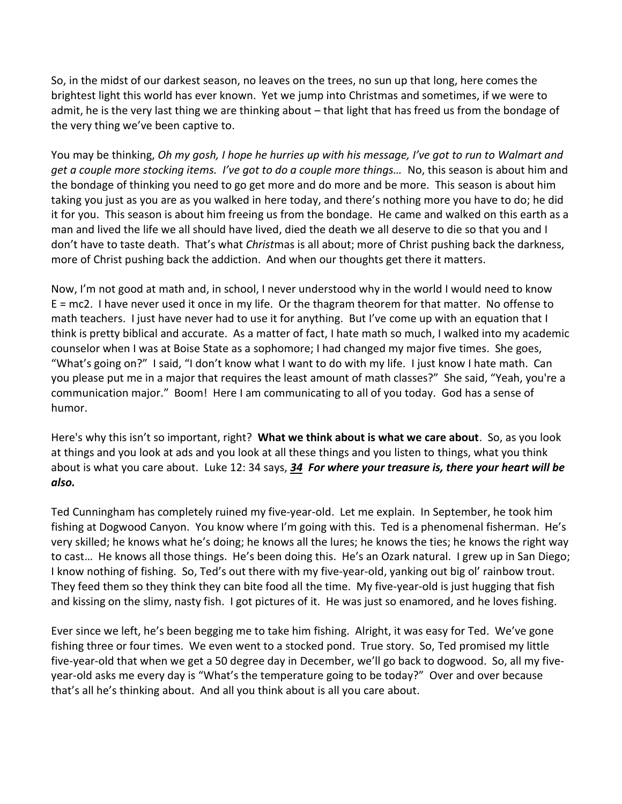So, in the midst of our darkest season, no leaves on the trees, no sun up that long, here comes the brightest light this world has ever known. Yet we jump into Christmas and sometimes, if we were to admit, he is the very last thing we are thinking about – that light that has freed us from the bondage of the very thing we've been captive to.

You may be thinking, *Oh my gosh, I hope he hurries up with his message, I've got to run to Walmart and get a couple more stocking items. I've got to do a couple more things…* No, this season is about him and the bondage of thinking you need to go get more and do more and be more. This season is about him taking you just as you are as you walked in here today, and there's nothing more you have to do; he did it for you. This season is about him freeing us from the bondage. He came and walked on this earth as a man and lived the life we all should have lived, died the death we all deserve to die so that you and I don't have to taste death. That's what *Christ*mas is all about; more of Christ pushing back the darkness, more of Christ pushing back the addiction. And when our thoughts get there it matters.

Now, I'm not good at math and, in school, I never understood why in the world I would need to know E = mc2. I have never used it once in my life. Or the thagram theorem for that matter. No offense to math teachers. I just have never had to use it for anything. But I've come up with an equation that I think is pretty biblical and accurate. As a matter of fact, I hate math so much, I walked into my academic counselor when I was at Boise State as a sophomore; I had changed my major five times. She goes, "What's going on?" I said, "I don't know what I want to do with my life. I just know I hate math. Can you please put me in a major that requires the least amount of math classes?" She said, "Yeah, you're a communication major." Boom! Here I am communicating to all of you today. God has a sense of humor.

Here's why this isn't so important, right? **What we think about is what we care about**. So, as you look at things and you look at ads and you look at all these things and you listen to things, what you think about is what you care about. Luke 12: 34 says, *[34](https://www.studylight.org/desk/?q=lu%2012:34&t1=en_niv&sr=1) For where your treasure is, there your heart will be also.*

Ted Cunningham has completely ruined my five-year-old. Let me explain. In September, he took him fishing at Dogwood Canyon. You know where I'm going with this. Ted is a phenomenal fisherman. He's very skilled; he knows what he's doing; he knows all the lures; he knows the ties; he knows the right way to cast… He knows all those things. He's been doing this. He's an Ozark natural. I grew up in San Diego; I know nothing of fishing. So, Ted's out there with my five-year-old, yanking out big ol' rainbow trout. They feed them so they think they can bite food all the time. My five-year-old is just hugging that fish and kissing on the slimy, nasty fish. I got pictures of it. He was just so enamored, and he loves fishing.

Ever since we left, he's been begging me to take him fishing. Alright, it was easy for Ted. We've gone fishing three or four times. We even went to a stocked pond. True story. So, Ted promised my little five-year-old that when we get a 50 degree day in December, we'll go back to dogwood. So, all my fiveyear-old asks me every day is "What's the temperature going to be today?" Over and over because that's all he's thinking about. And all you think about is all you care about.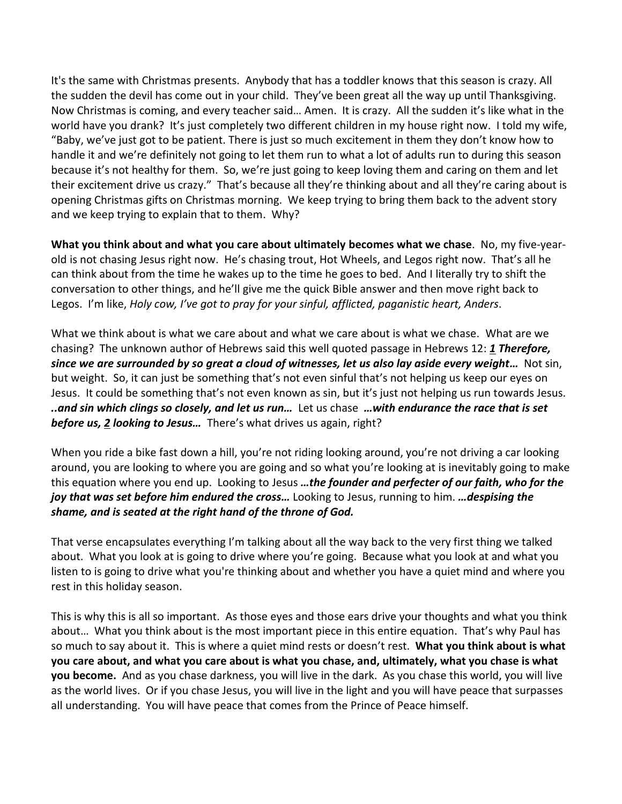It's the same with Christmas presents. Anybody that has a toddler knows that this season is crazy. All the sudden the devil has come out in your child. They've been great all the way up until Thanksgiving. Now Christmas is coming, and every teacher said… Amen. It is crazy. All the sudden it's like what in the world have you drank? It's just completely two different children in my house right now. I told my wife, "Baby, we've just got to be patient. There is just so much excitement in them they don't know how to handle it and we're definitely not going to let them run to what a lot of adults run to during this season because it's not healthy for them. So, we're just going to keep loving them and caring on them and let their excitement drive us crazy." That's because all they're thinking about and all they're caring about is opening Christmas gifts on Christmas morning. We keep trying to bring them back to the advent story and we keep trying to explain that to them. Why?

**What you think about and what you care about ultimately becomes what we chase**. No, my five-yearold is not chasing Jesus right now. He's chasing trout, Hot Wheels, and Legos right now. That's all he can think about from the time he wakes up to the time he goes to bed. And I literally try to shift the conversation to other things, and he'll give me the quick Bible answer and then move right back to Legos. I'm like, *Holy cow, I've got to pray for your sinful, afflicted, paganistic heart, Anders*.

What we think about is what we care about and what we care about is what we chase. What are we chasing? The unknown author of Hebrews said this well quoted passage in Hebrews 12: *[1](https://www.studylight.org/desk/?q=heb%2012:1&t1=en_esv&sr=1) Therefore, since we are surrounded by so great a cloud of witnesses, let us also lay aside every weight…* Not sin, but weight. So, it can just be something that's not even sinful that's not helping us keep our eyes on Jesus. It could be something that's not even known as sin, but it's just not helping us run towards Jesus. *..and sin which clings so closely, and let us run…* Let us chase *…with endurance the race that is set before us, [2](https://www.studylight.org/desk/?q=heb%2012:2&t1=en_esv&sr=1) looking to Jesus…* There's what drives us again, right?

When you ride a bike fast down a hill, you're not riding looking around, you're not driving a car looking around, you are looking to where you are going and so what you're looking at is inevitably going to make this equation where you end up. Looking to Jesus *…the founder and perfecter of our faith, who for the joy that was set before him endured the cross…* Looking to Jesus, running to him. *…despising the shame, and is seated at the right hand of the throne of God.*

That verse encapsulates everything I'm talking about all the way back to the very first thing we talked about. What you look at is going to drive where you're going. Because what you look at and what you listen to is going to drive what you're thinking about and whether you have a quiet mind and where you rest in this holiday season.

This is why this is all so important. As those eyes and those ears drive your thoughts and what you think about… What you think about is the most important piece in this entire equation. That's why Paul has so much to say about it. This is where a quiet mind rests or doesn't rest. **What you think about is what you care about, and what you care about is what you chase, and, ultimately, what you chase is what you become.** And as you chase darkness, you will live in the dark. As you chase this world, you will live as the world lives. Or if you chase Jesus, you will live in the light and you will have peace that surpasses all understanding. You will have peace that comes from the Prince of Peace himself.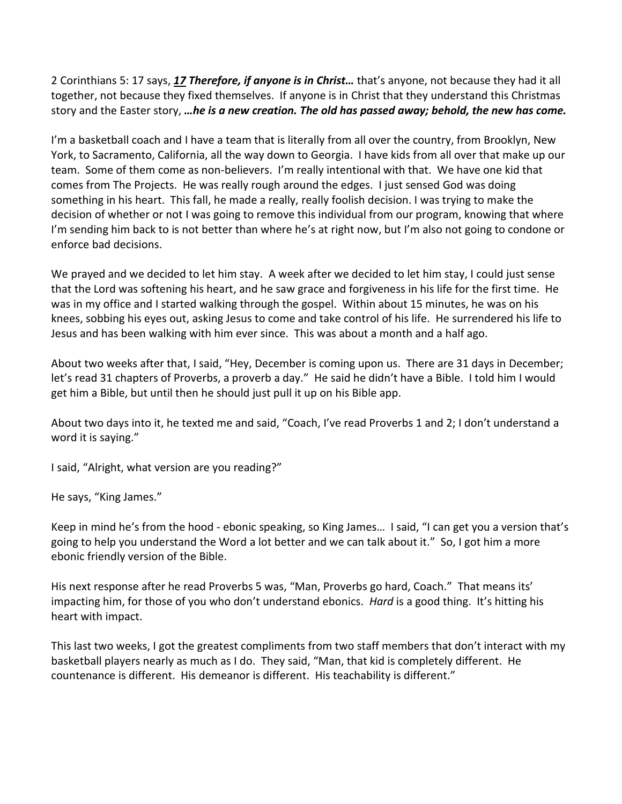2 Corinthians 5: 17 says, *[17](https://www.studylight.org/desk/?q=2co%205:17&t1=en_esv&sr=1) Therefore, if anyone is in Christ…* that's anyone, not because they had it all together, not because they fixed themselves. If anyone is in Christ that they understand this Christmas story and the Easter story, *…he is a new creation. The old has passed away; behold, the new has come.*

I'm a basketball coach and I have a team that is literally from all over the country, from Brooklyn, New York, to Sacramento, California, all the way down to Georgia. I have kids from all over that make up our team. Some of them come as non-believers. I'm really intentional with that. We have one kid that comes from The Projects. He was really rough around the edges. I just sensed God was doing something in his heart. This fall, he made a really, really foolish decision. I was trying to make the decision of whether or not I was going to remove this individual from our program, knowing that where I'm sending him back to is not better than where he's at right now, but I'm also not going to condone or enforce bad decisions.

We prayed and we decided to let him stay. A week after we decided to let him stay, I could just sense that the Lord was softening his heart, and he saw grace and forgiveness in his life for the first time. He was in my office and I started walking through the gospel. Within about 15 minutes, he was on his knees, sobbing his eyes out, asking Jesus to come and take control of his life. He surrendered his life to Jesus and has been walking with him ever since. This was about a month and a half ago.

About two weeks after that, I said, "Hey, December is coming upon us. There are 31 days in December; let's read 31 chapters of Proverbs, a proverb a day." He said he didn't have a Bible. I told him I would get him a Bible, but until then he should just pull it up on his Bible app.

About two days into it, he texted me and said, "Coach, I've read Proverbs 1 and 2; I don't understand a word it is saying."

I said, "Alright, what version are you reading?"

He says, "King James."

Keep in mind he's from the hood - ebonic speaking, so King James… I said, "I can get you a version that's going to help you understand the Word a lot better and we can talk about it." So, I got him a more ebonic friendly version of the Bible.

His next response after he read Proverbs 5 was, "Man, Proverbs go hard, Coach." That means its' impacting him, for those of you who don't understand ebonics. *Hard* is a good thing. It's hitting his heart with impact.

This last two weeks, I got the greatest compliments from two staff members that don't interact with my basketball players nearly as much as I do. They said, "Man, that kid is completely different. He countenance is different. His demeanor is different. His teachability is different."